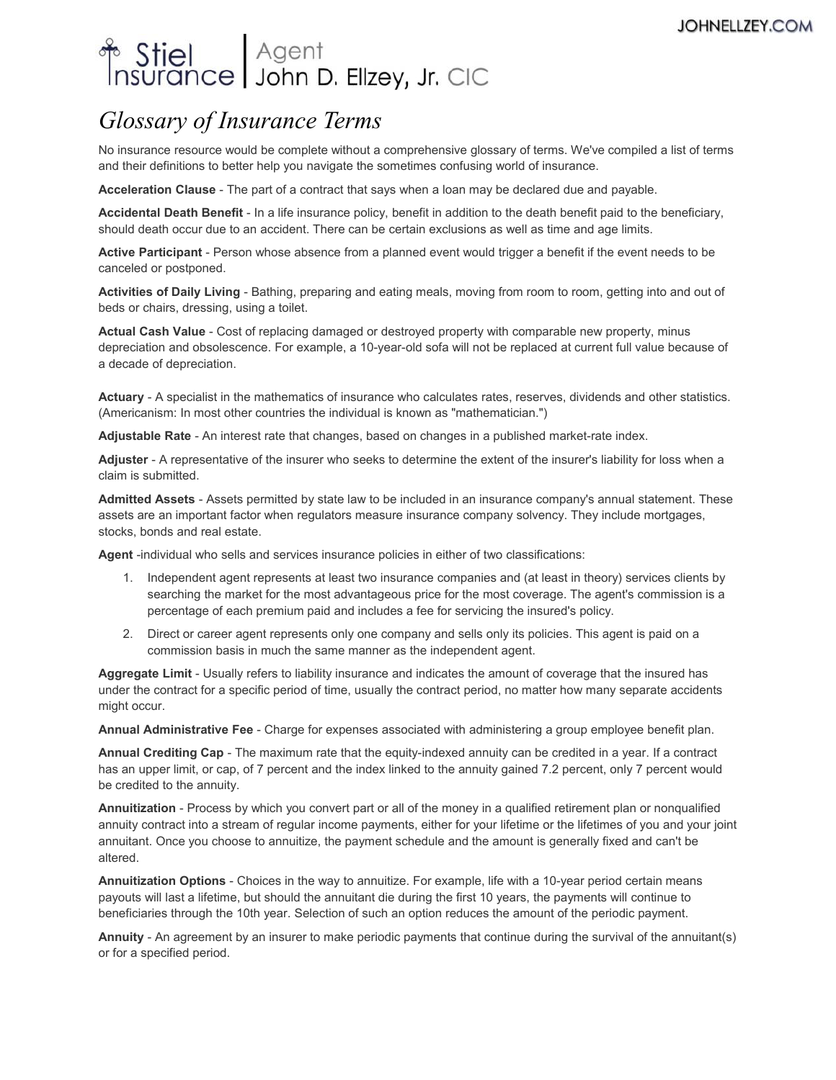## of Stiel Agent<br>Insurance John D. Ellzey, Jr. CIC

## *Glossary of Insurance Terms*

No insurance resource would be complete without a comprehensive glossary of terms. We've compiled a list of terms and their definitions to better help you navigate the sometimes confusing world of insurance.

**Acceleration Clause** - The part of a contract that says when a loan may be declared due and payable.

**Accidental Death Benefit** - In a life insurance policy, benefit in addition to the death benefit paid to the beneficiary, should death occur due to an accident. There can be certain exclusions as well as time and age limits.

**Active Participant** - Person whose absence from a planned event would trigger a benefit if the event needs to be canceled or postponed.

**Activities of Daily Living** - Bathing, preparing and eating meals, moving from room to room, getting into and out of beds or chairs, dressing, using a toilet.

**Actual Cash Value** - Cost of replacing damaged or destroyed property with comparable new property, minus depreciation and obsolescence. For example, a 10-year-old sofa will not be replaced at current full value because of a decade of depreciation.

**Actuary** - A specialist in the mathematics of insurance who calculates rates, reserves, dividends and other statistics. (Americanism: In most other countries the individual is known as "mathematician.")

**Adjustable Rate** - An interest rate that changes, based on changes in a published market-rate index.

**Adjuster** - A representative of the insurer who seeks to determine the extent of the insurer's liability for loss when a claim is submitted.

**Admitted Assets** - Assets permitted by state law to be included in an insurance company's annual statement. These assets are an important factor when regulators measure insurance company solvency. They include mortgages, stocks, bonds and real estate.

**Agent** -individual who sells and services insurance policies in either of two classifications:

- 1. Independent agent represents at least two insurance companies and (at least in theory) services clients by searching the market for the most advantageous price for the most coverage. The agent's commission is a percentage of each premium paid and includes a fee for servicing the insured's policy.
- 2. Direct or career agent represents only one company and sells only its policies. This agent is paid on a commission basis in much the same manner as the independent agent.

**Aggregate Limit** - Usually refers to liability insurance and indicates the amount of coverage that the insured has under the contract for a specific period of time, usually the contract period, no matter how many separate accidents might occur.

**Annual Administrative Fee** - Charge for expenses associated with administering a group employee benefit plan.

**Annual Crediting Cap** - The maximum rate that the equity-indexed annuity can be credited in a year. If a contract has an upper limit, or cap, of 7 percent and the index linked to the annuity gained 7.2 percent, only 7 percent would be credited to the annuity.

**Annuitization** - Process by which you convert part or all of the money in a qualified retirement plan or nonqualified annuity contract into a stream of regular income payments, either for your lifetime or the lifetimes of you and your joint annuitant. Once you choose to annuitize, the payment schedule and the amount is generally fixed and can't be altered.

**Annuitization Options** - Choices in the way to annuitize. For example, life with a 10-year period certain means payouts will last a lifetime, but should the annuitant die during the first 10 years, the payments will continue to beneficiaries through the 10th year. Selection of such an option reduces the amount of the periodic payment.

**Annuity** - An agreement by an insurer to make periodic payments that continue during the survival of the annuitant(s) or for a specified period.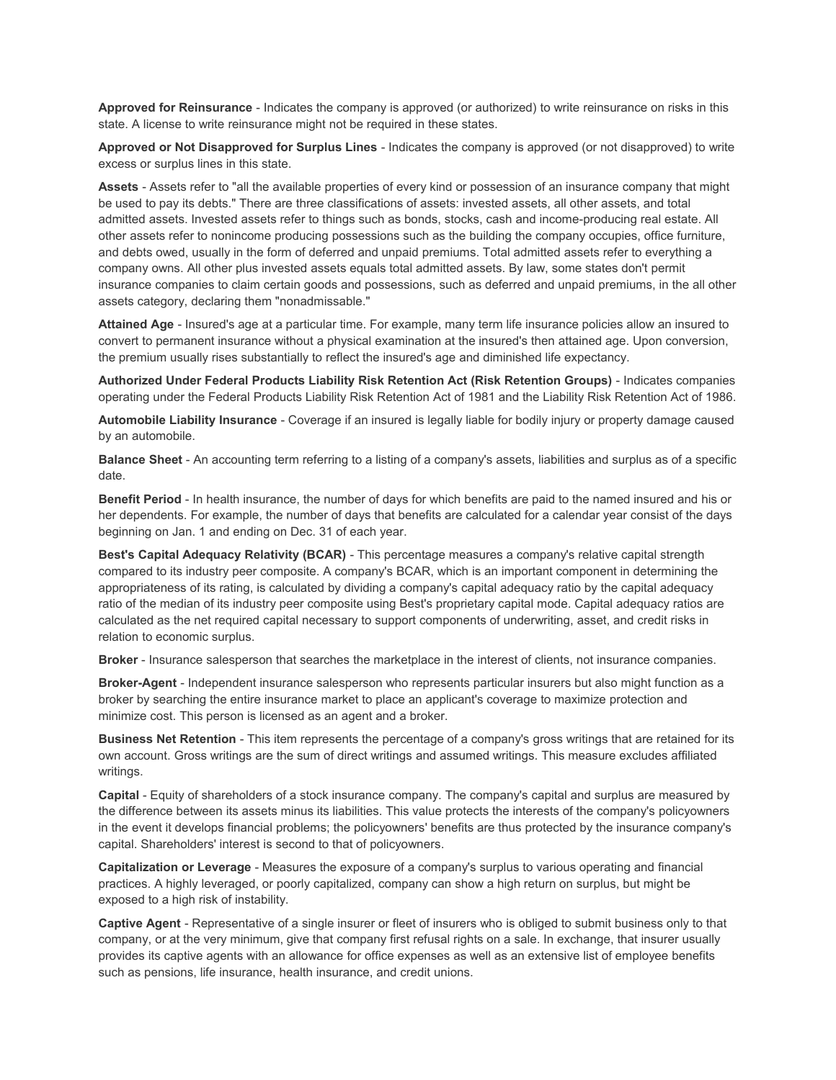**Approved for Reinsurance** - Indicates the company is approved (or authorized) to write reinsurance on risks in this state. A license to write reinsurance might not be required in these states.

**Approved or Not Disapproved for Surplus Lines** - Indicates the company is approved (or not disapproved) to write excess or surplus lines in this state.

**Assets** - Assets refer to "all the available properties of every kind or possession of an insurance company that might be used to pay its debts." There are three classifications of assets: invested assets, all other assets, and total admitted assets. Invested assets refer to things such as bonds, stocks, cash and income-producing real estate. All other assets refer to nonincome producing possessions such as the building the company occupies, office furniture, and debts owed, usually in the form of deferred and unpaid premiums. Total admitted assets refer to everything a company owns. All other plus invested assets equals total admitted assets. By law, some states don't permit insurance companies to claim certain goods and possessions, such as deferred and unpaid premiums, in the all other assets category, declaring them "nonadmissable."

**Attained Age** - Insured's age at a particular time. For example, many term life insurance policies allow an insured to convert to permanent insurance without a physical examination at the insured's then attained age. Upon conversion, the premium usually rises substantially to reflect the insured's age and diminished life expectancy.

**Authorized Under Federal Products Liability Risk Retention Act (Risk Retention Groups)** - Indicates companies operating under the Federal Products Liability Risk Retention Act of 1981 and the Liability Risk Retention Act of 1986.

**Automobile Liability Insurance** - Coverage if an insured is legally liable for bodily injury or property damage caused by an automobile.

**Balance Sheet** - An accounting term referring to a listing of a company's assets, liabilities and surplus as of a specific date.

**Benefit Period** - In health insurance, the number of days for which benefits are paid to the named insured and his or her dependents. For example, the number of days that benefits are calculated for a calendar year consist of the days beginning on Jan. 1 and ending on Dec. 31 of each year.

**Best's Capital Adequacy Relativity (BCAR)** - This percentage measures a company's relative capital strength compared to its industry peer composite. A company's BCAR, which is an important component in determining the appropriateness of its rating, is calculated by dividing a company's capital adequacy ratio by the capital adequacy ratio of the median of its industry peer composite using Best's proprietary capital mode. Capital adequacy ratios are calculated as the net required capital necessary to support components of underwriting, asset, and credit risks in relation to economic surplus.

**Broker** - Insurance salesperson that searches the marketplace in the interest of clients, not insurance companies.

**Broker-Agent** - Independent insurance salesperson who represents particular insurers but also might function as a broker by searching the entire insurance market to place an applicant's coverage to maximize protection and minimize cost. This person is licensed as an agent and a broker.

**Business Net Retention** - This item represents the percentage of a company's gross writings that are retained for its own account. Gross writings are the sum of direct writings and assumed writings. This measure excludes affiliated writings.

**Capital** - Equity of shareholders of a stock insurance company. The company's capital and surplus are measured by the difference between its assets minus its liabilities. This value protects the interests of the company's policyowners in the event it develops financial problems; the policyowners' benefits are thus protected by the insurance company's capital. Shareholders' interest is second to that of policyowners.

**Capitalization or Leverage** - Measures the exposure of a company's surplus to various operating and financial practices. A highly leveraged, or poorly capitalized, company can show a high return on surplus, but might be exposed to a high risk of instability.

**Captive Agent** - Representative of a single insurer or fleet of insurers who is obliged to submit business only to that company, or at the very minimum, give that company first refusal rights on a sale. In exchange, that insurer usually provides its captive agents with an allowance for office expenses as well as an extensive list of employee benefits such as pensions, life insurance, health insurance, and credit unions.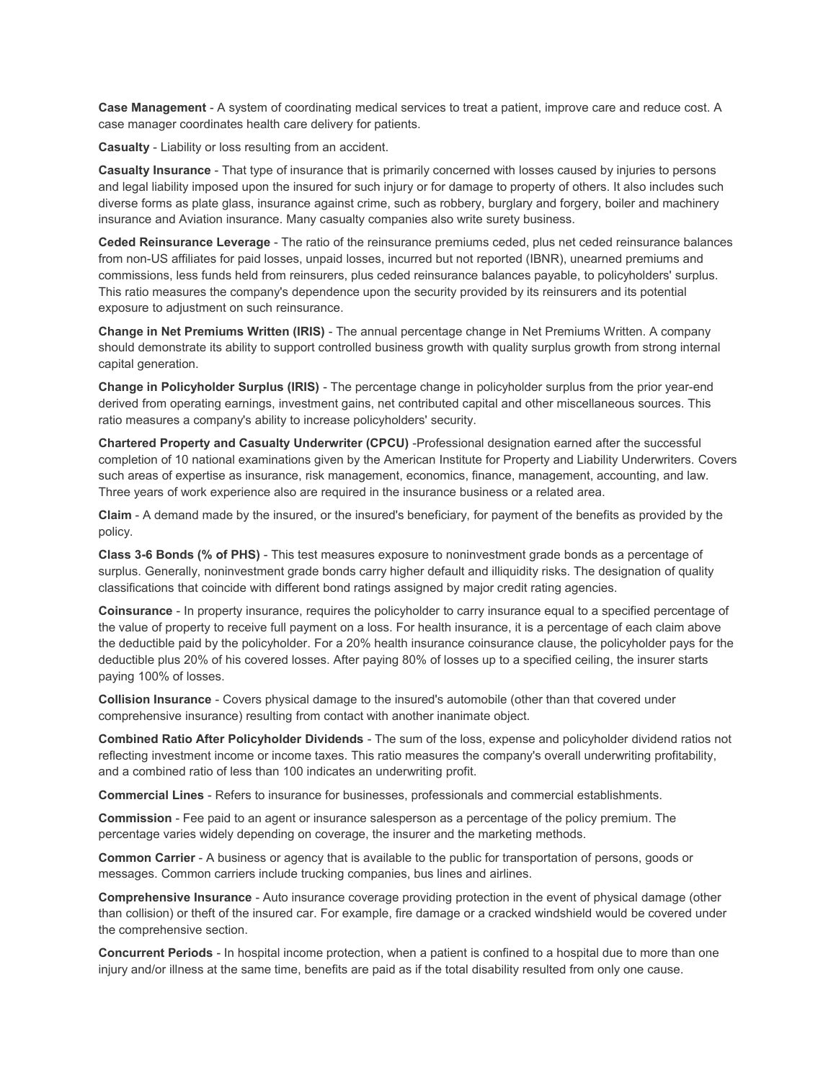**Case Management** - A system of coordinating medical services to treat a patient, improve care and reduce cost. A case manager coordinates health care delivery for patients.

**Casualty** - Liability or loss resulting from an accident.

**Casualty Insurance** - That type of insurance that is primarily concerned with losses caused by injuries to persons and legal liability imposed upon the insured for such injury or for damage to property of others. It also includes such diverse forms as plate glass, insurance against crime, such as robbery, burglary and forgery, boiler and machinery insurance and Aviation insurance. Many casualty companies also write surety business.

**Ceded Reinsurance Leverage** - The ratio of the reinsurance premiums ceded, plus net ceded reinsurance balances from non-US affiliates for paid losses, unpaid losses, incurred but not reported (IBNR), unearned premiums and commissions, less funds held from reinsurers, plus ceded reinsurance balances payable, to policyholders' surplus. This ratio measures the company's dependence upon the security provided by its reinsurers and its potential exposure to adjustment on such reinsurance.

**Change in Net Premiums Written (IRIS)** - The annual percentage change in Net Premiums Written. A company should demonstrate its ability to support controlled business growth with quality surplus growth from strong internal capital generation.

**Change in Policyholder Surplus (IRIS)** - The percentage change in policyholder surplus from the prior year-end derived from operating earnings, investment gains, net contributed capital and other miscellaneous sources. This ratio measures a company's ability to increase policyholders' security.

**Chartered Property and Casualty Underwriter (CPCU)** -Professional designation earned after the successful completion of 10 national examinations given by the American Institute for Property and Liability Underwriters. Covers such areas of expertise as insurance, risk management, economics, finance, management, accounting, and law. Three years of work experience also are required in the insurance business or a related area.

**Claim** - A demand made by the insured, or the insured's beneficiary, for payment of the benefits as provided by the policy.

**Class 3-6 Bonds (% of PHS)** - This test measures exposure to noninvestment grade bonds as a percentage of surplus. Generally, noninvestment grade bonds carry higher default and illiquidity risks. The designation of quality classifications that coincide with different bond ratings assigned by major credit rating agencies.

**Coinsurance** - In property insurance, requires the policyholder to carry insurance equal to a specified percentage of the value of property to receive full payment on a loss. For health insurance, it is a percentage of each claim above the deductible paid by the policyholder. For a 20% health insurance coinsurance clause, the policyholder pays for the deductible plus 20% of his covered losses. After paying 80% of losses up to a specified ceiling, the insurer starts paying 100% of losses.

**Collision Insurance** - Covers physical damage to the insured's automobile (other than that covered under comprehensive insurance) resulting from contact with another inanimate object.

**Combined Ratio After Policyholder Dividends** - The sum of the loss, expense and policyholder dividend ratios not reflecting investment income or income taxes. This ratio measures the company's overall underwriting profitability, and a combined ratio of less than 100 indicates an underwriting profit.

**Commercial Lines** - Refers to insurance for businesses, professionals and commercial establishments.

**Commission** - Fee paid to an agent or insurance salesperson as a percentage of the policy premium. The percentage varies widely depending on coverage, the insurer and the marketing methods.

**Common Carrier** - A business or agency that is available to the public for transportation of persons, goods or messages. Common carriers include trucking companies, bus lines and airlines.

**Comprehensive Insurance** - Auto insurance coverage providing protection in the event of physical damage (other than collision) or theft of the insured car. For example, fire damage or a cracked windshield would be covered under the comprehensive section.

**Concurrent Periods** - In hospital income protection, when a patient is confined to a hospital due to more than one injury and/or illness at the same time, benefits are paid as if the total disability resulted from only one cause.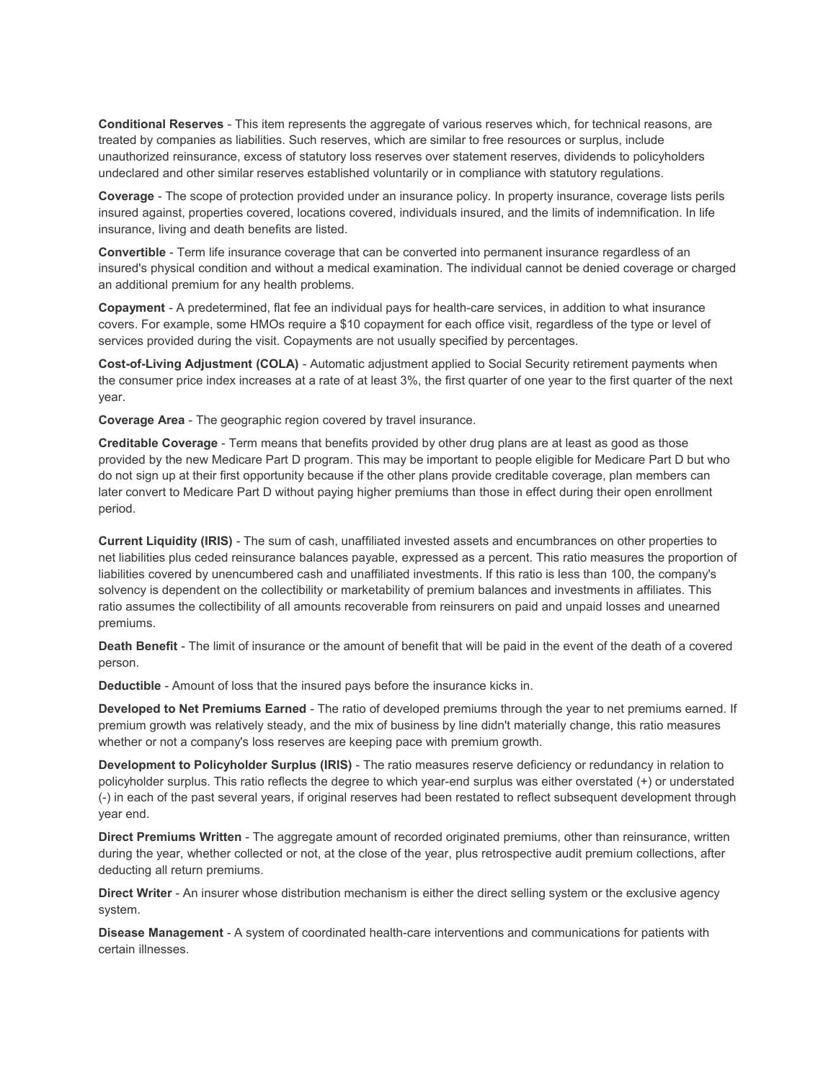**Conditional Reserves** - This item represents the aggregate of various reserves which, for technical reasons, are treated by companies as liabilities. Such reserves, which are similar to free resources or surplus, include unauthorized reinsurance, excess of statutory loss reserves over statement reserves, dividends to policyholders undeclared and other similar reserves established voluntarily or in compliance with statutory regulations.

**Coverage** - The scope of protection provided under an insurance policy. In property insurance, coverage lists perils insured against, properties covered, locations covered, individuals insured, and the limits of indemnification. In life insurance, living and death benefits are listed.

**Convertible** - Term life insurance coverage that can be converted into permanent insurance regardless of an insured's physical condition and without a medical examination. The individual cannot be denied coverage or charged an additional premium for any health problems.

**Copayment** - A predetermined, flat fee an individual pays for health-care services, in addition to what insurance covers. For example, some HMOs require a \$10 copayment for each office visit, regardless of the type or level of services provided during the visit. Copayments are not usually specified by percentages.

**Cost-of-Living Adjustment (COLA)** - Automatic adjustment applied to Social Security retirement payments when the consumer price index increases at a rate of at least 3%, the first quarter of one year to the first quarter of the next year.

**Coverage Area** - The geographic region covered by travel insurance.

**Creditable Coverage** - Term means that benefits provided by other drug plans are at least as good as those provided by the new Medicare Part D program. This may be important to people eligible for Medicare Part D but who do not sign up at their first opportunity because if the other plans provide creditable coverage, plan members can later convert to Medicare Part D without paying higher premiums than those in effect during their open enrollment period.

**Current Liquidity (IRIS)** - The sum of cash, unaffiliated invested assets and encumbrances on other properties to net liabilities plus ceded reinsurance balances payable, expressed as a percent. This ratio measures the proportion of liabilities covered by unencumbered cash and unaffiliated investments. If this ratio is less than 100, the company's solvency is dependent on the collectibility or marketability of premium balances and investments in affiliates. This ratio assumes the collectibility of all amounts recoverable from reinsurers on paid and unpaid losses and unearned premiums.

**Death Benefit** - The limit of insurance or the amount of benefit that will be paid in the event of the death of a covered person.

**Deductible** - Amount of loss that the insured pays before the insurance kicks in.

**Developed to Net Premiums Earned** - The ratio of developed premiums through the year to net premiums earned. If premium growth was relatively steady, and the mix of business by line didn't materially change, this ratio measures whether or not a company's loss reserves are keeping pace with premium growth.

**Development to Policyholder Surplus (IRIS)** - The ratio measures reserve deficiency or redundancy in relation to policyholder surplus. This ratio reflects the degree to which year-end surplus was either overstated (+) or understated (-) in each of the past several years, if original reserves had been restated to reflect subsequent development through year end.

**Direct Premiums Written** - The aggregate amount of recorded originated premiums, other than reinsurance, written during the year, whether collected or not, at the close of the year, plus retrospective audit premium collections, after deducting all return premiums.

**Direct Writer** - An insurer whose distribution mechanism is either the direct selling system or the exclusive agency system.

**Disease Management** - A system of coordinated health-care interventions and communications for patients with certain illnesses.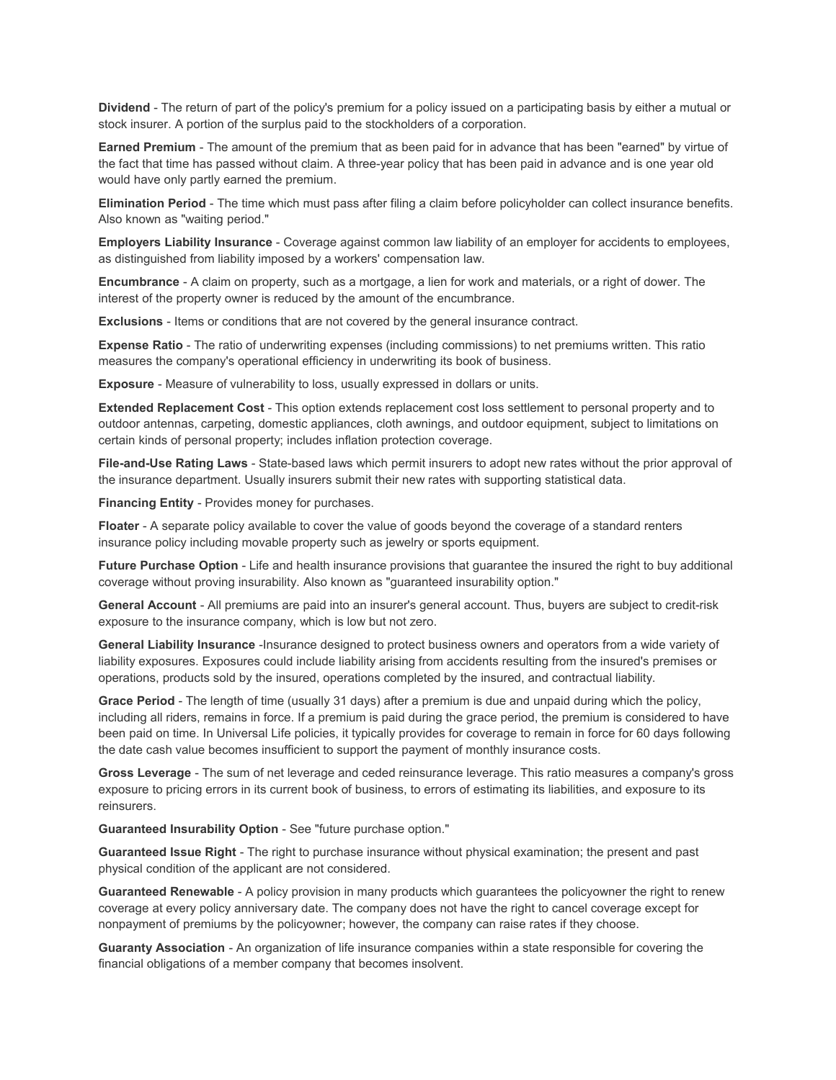**Dividend** - The return of part of the policy's premium for a policy issued on a participating basis by either a mutual or stock insurer. A portion of the surplus paid to the stockholders of a corporation.

**Earned Premium** - The amount of the premium that as been paid for in advance that has been "earned" by virtue of the fact that time has passed without claim. A three-year policy that has been paid in advance and is one year old would have only partly earned the premium.

**Elimination Period** - The time which must pass after filing a claim before policyholder can collect insurance benefits. Also known as "waiting period."

**Employers Liability Insurance** - Coverage against common law liability of an employer for accidents to employees, as distinguished from liability imposed by a workers' compensation law.

**Encumbrance** - A claim on property, such as a mortgage, a lien for work and materials, or a right of dower. The interest of the property owner is reduced by the amount of the encumbrance.

**Exclusions** - Items or conditions that are not covered by the general insurance contract.

**Expense Ratio** - The ratio of underwriting expenses (including commissions) to net premiums written. This ratio measures the company's operational efficiency in underwriting its book of business.

**Exposure** - Measure of vulnerability to loss, usually expressed in dollars or units.

**Extended Replacement Cost** - This option extends replacement cost loss settlement to personal property and to outdoor antennas, carpeting, domestic appliances, cloth awnings, and outdoor equipment, subject to limitations on certain kinds of personal property; includes inflation protection coverage.

**File-and-Use Rating Laws** - State-based laws which permit insurers to adopt new rates without the prior approval of the insurance department. Usually insurers submit their new rates with supporting statistical data.

**Financing Entity** - Provides money for purchases.

**Floater** - A separate policy available to cover the value of goods beyond the coverage of a standard renters insurance policy including movable property such as jewelry or sports equipment.

**Future Purchase Option** - Life and health insurance provisions that guarantee the insured the right to buy additional coverage without proving insurability. Also known as "guaranteed insurability option."

**General Account** - All premiums are paid into an insurer's general account. Thus, buyers are subject to credit-risk exposure to the insurance company, which is low but not zero.

**General Liability Insurance** -Insurance designed to protect business owners and operators from a wide variety of liability exposures. Exposures could include liability arising from accidents resulting from the insured's premises or operations, products sold by the insured, operations completed by the insured, and contractual liability.

**Grace Period** - The length of time (usually 31 days) after a premium is due and unpaid during which the policy, including all riders, remains in force. If a premium is paid during the grace period, the premium is considered to have been paid on time. In Universal Life policies, it typically provides for coverage to remain in force for 60 days following the date cash value becomes insufficient to support the payment of monthly insurance costs.

**Gross Leverage** - The sum of net leverage and ceded reinsurance leverage. This ratio measures a company's gross exposure to pricing errors in its current book of business, to errors of estimating its liabilities, and exposure to its reinsurers.

**Guaranteed Insurability Option** - See "future purchase option."

**Guaranteed Issue Right** - The right to purchase insurance without physical examination; the present and past physical condition of the applicant are not considered.

**Guaranteed Renewable** - A policy provision in many products which guarantees the policyowner the right to renew coverage at every policy anniversary date. The company does not have the right to cancel coverage except for nonpayment of premiums by the policyowner; however, the company can raise rates if they choose.

**Guaranty Association** - An organization of life insurance companies within a state responsible for covering the financial obligations of a member company that becomes insolvent.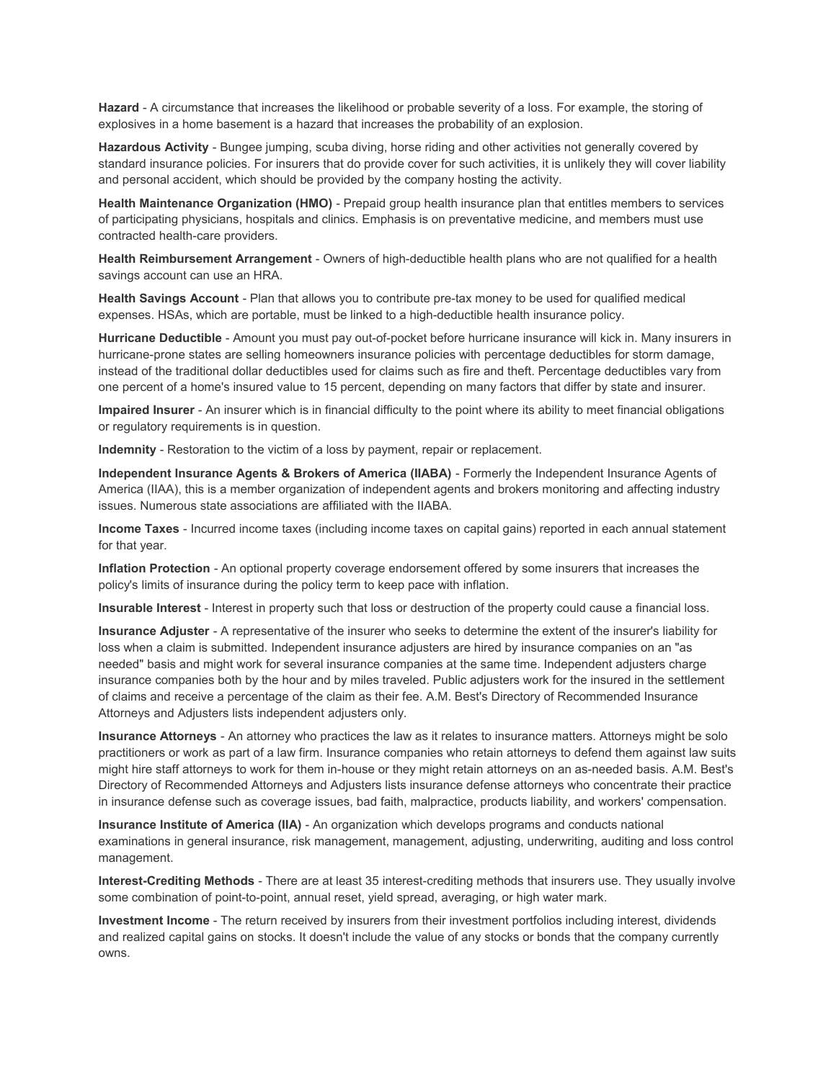**Hazard** - A circumstance that increases the likelihood or probable severity of a loss. For example, the storing of explosives in a home basement is a hazard that increases the probability of an explosion.

**Hazardous Activity** - Bungee jumping, scuba diving, horse riding and other activities not generally covered by standard insurance policies. For insurers that do provide cover for such activities, it is unlikely they will cover liability and personal accident, which should be provided by the company hosting the activity.

**Health Maintenance Organization (HMO)** - Prepaid group health insurance plan that entitles members to services of participating physicians, hospitals and clinics. Emphasis is on preventative medicine, and members must use contracted health-care providers.

**Health Reimbursement Arrangement** - Owners of high-deductible health plans who are not qualified for a health savings account can use an HRA.

**Health Savings Account** - Plan that allows you to contribute pre-tax money to be used for qualified medical expenses. HSAs, which are portable, must be linked to a high-deductible health insurance policy.

**Hurricane Deductible** - Amount you must pay out-of-pocket before hurricane insurance will kick in. Many insurers in hurricane-prone states are selling homeowners insurance policies with percentage deductibles for storm damage, instead of the traditional dollar deductibles used for claims such as fire and theft. Percentage deductibles vary from one percent of a home's insured value to 15 percent, depending on many factors that differ by state and insurer.

**Impaired Insurer** - An insurer which is in financial difficulty to the point where its ability to meet financial obligations or regulatory requirements is in question.

**Indemnity** - Restoration to the victim of a loss by payment, repair or replacement.

**Independent Insurance Agents & Brokers of America (IIABA)** - Formerly the Independent Insurance Agents of America (IIAA), this is a member organization of independent agents and brokers monitoring and affecting industry issues. Numerous state associations are affiliated with the IIABA.

**Income Taxes** - Incurred income taxes (including income taxes on capital gains) reported in each annual statement for that year.

**Inflation Protection** - An optional property coverage endorsement offered by some insurers that increases the policy's limits of insurance during the policy term to keep pace with inflation.

**Insurable Interest** - Interest in property such that loss or destruction of the property could cause a financial loss.

**Insurance Adjuster** - A representative of the insurer who seeks to determine the extent of the insurer's liability for loss when a claim is submitted. Independent insurance adjusters are hired by insurance companies on an "as needed" basis and might work for several insurance companies at the same time. Independent adjusters charge insurance companies both by the hour and by miles traveled. Public adjusters work for the insured in the settlement of claims and receive a percentage of the claim as their fee. A.M. Best's Directory of Recommended Insurance Attorneys and Adjusters lists independent adjusters only.

**Insurance Attorneys** - An attorney who practices the law as it relates to insurance matters. Attorneys might be solo practitioners or work as part of a law firm. Insurance companies who retain attorneys to defend them against law suits might hire staff attorneys to work for them in-house or they might retain attorneys on an as-needed basis. A.M. Best's Directory of Recommended Attorneys and Adjusters lists insurance defense attorneys who concentrate their practice in insurance defense such as coverage issues, bad faith, malpractice, products liability, and workers' compensation.

**Insurance Institute of America (IIA)** - An organization which develops programs and conducts national examinations in general insurance, risk management, management, adjusting, underwriting, auditing and loss control management.

**Interest-Crediting Methods** - There are at least 35 interest-crediting methods that insurers use. They usually involve some combination of point-to-point, annual reset, yield spread, averaging, or high water mark.

**Investment Income** - The return received by insurers from their investment portfolios including interest, dividends and realized capital gains on stocks. It doesn't include the value of any stocks or bonds that the company currently owns.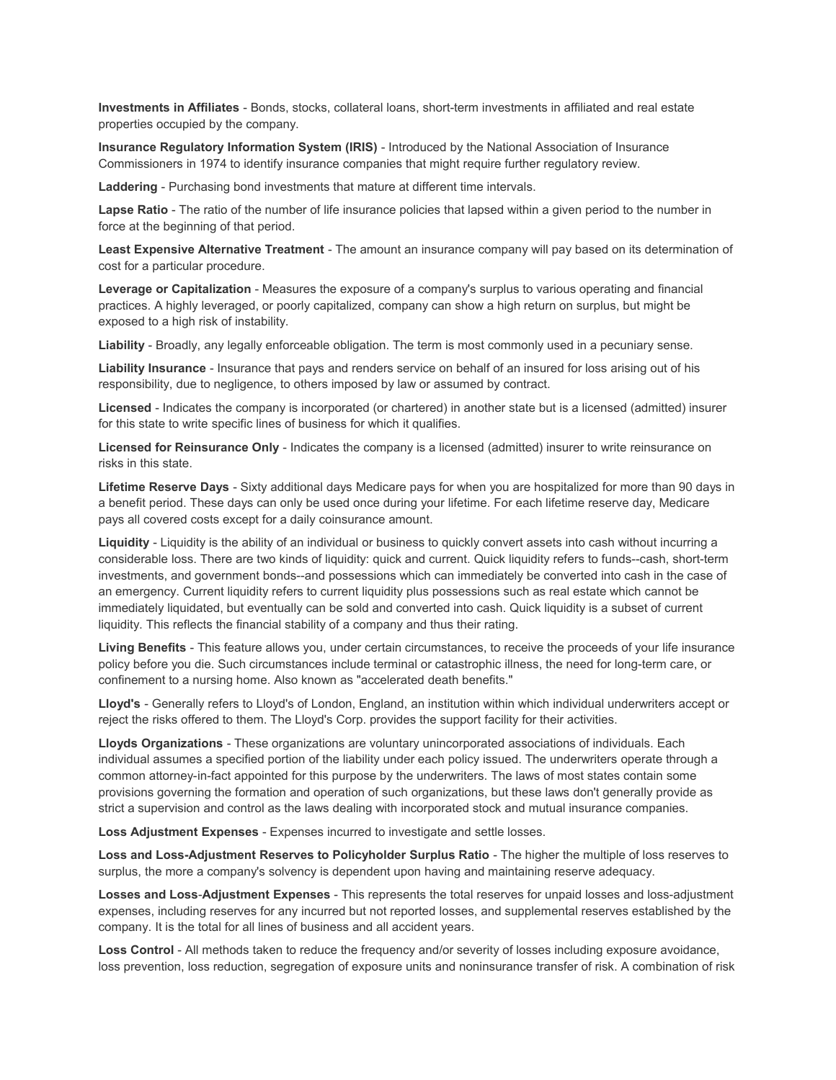**Investments in Affiliates** - Bonds, stocks, collateral loans, short-term investments in affiliated and real estate properties occupied by the company.

**Insurance Regulatory Information System (IRIS)** - Introduced by the National Association of Insurance Commissioners in 1974 to identify insurance companies that might require further regulatory review.

**Laddering** - Purchasing bond investments that mature at different time intervals.

Lapse Ratio - The ratio of the number of life insurance policies that lapsed within a given period to the number in force at the beginning of that period.

**Least Expensive Alternative Treatment** - The amount an insurance company will pay based on its determination of cost for a particular procedure.

**Leverage or Capitalization** - Measures the exposure of a company's surplus to various operating and financial practices. A highly leveraged, or poorly capitalized, company can show a high return on surplus, but might be exposed to a high risk of instability.

**Liability** - Broadly, any legally enforceable obligation. The term is most commonly used in a pecuniary sense.

**Liability Insurance** - Insurance that pays and renders service on behalf of an insured for loss arising out of his responsibility, due to negligence, to others imposed by law or assumed by contract.

**Licensed** - Indicates the company is incorporated (or chartered) in another state but is a licensed (admitted) insurer for this state to write specific lines of business for which it qualifies.

**Licensed for Reinsurance Only** - Indicates the company is a licensed (admitted) insurer to write reinsurance on risks in this state.

**Lifetime Reserve Days** - Sixty additional days Medicare pays for when you are hospitalized for more than 90 days in a benefit period. These days can only be used once during your lifetime. For each lifetime reserve day, Medicare pays all covered costs except for a daily coinsurance amount.

**Liquidity** - Liquidity is the ability of an individual or business to quickly convert assets into cash without incurring a considerable loss. There are two kinds of liquidity: quick and current. Quick liquidity refers to funds--cash, short-term investments, and government bonds--and possessions which can immediately be converted into cash in the case of an emergency. Current liquidity refers to current liquidity plus possessions such as real estate which cannot be immediately liquidated, but eventually can be sold and converted into cash. Quick liquidity is a subset of current liquidity. This reflects the financial stability of a company and thus their rating.

**Living Benefits** - This feature allows you, under certain circumstances, to receive the proceeds of your life insurance policy before you die. Such circumstances include terminal or catastrophic illness, the need for long-term care, or confinement to a nursing home. Also known as "accelerated death benefits."

**Lloyd's** - Generally refers to Lloyd's of London, England, an institution within which individual underwriters accept or reject the risks offered to them. The Lloyd's Corp. provides the support facility for their activities.

**Lloyds Organizations** - These organizations are voluntary unincorporated associations of individuals. Each individual assumes a specified portion of the liability under each policy issued. The underwriters operate through a common attorney-in-fact appointed for this purpose by the underwriters. The laws of most states contain some provisions governing the formation and operation of such organizations, but these laws don't generally provide as strict a supervision and control as the laws dealing with incorporated stock and mutual insurance companies.

**Loss Adjustment Expenses** - Expenses incurred to investigate and settle losses.

**Loss and Loss-Adjustment Reserves to Policyholder Surplus Ratio** - The higher the multiple of loss reserves to surplus, the more a company's solvency is dependent upon having and maintaining reserve adequacy.

**Losses and Loss**-**Adjustment Expenses** - This represents the total reserves for unpaid losses and loss-adjustment expenses, including reserves for any incurred but not reported losses, and supplemental reserves established by the company. It is the total for all lines of business and all accident years.

**Loss Control** - All methods taken to reduce the frequency and/or severity of losses including exposure avoidance, loss prevention, loss reduction, segregation of exposure units and noninsurance transfer of risk. A combination of risk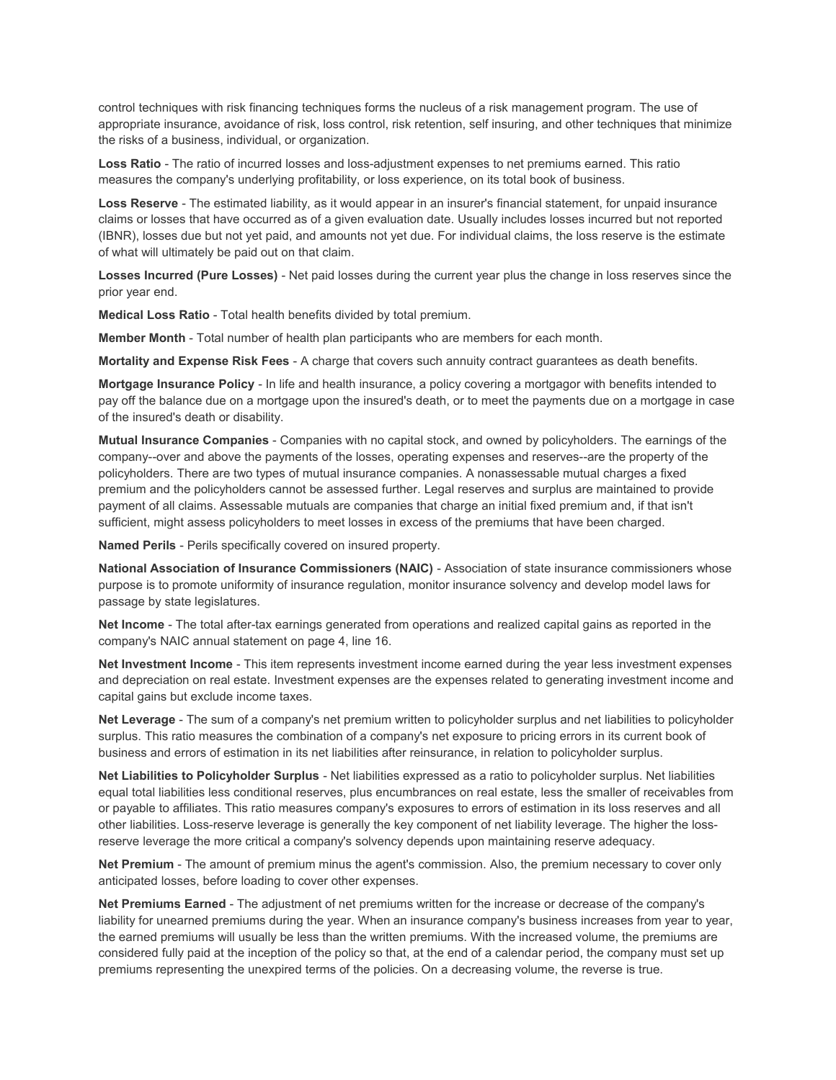control techniques with risk financing techniques forms the nucleus of a risk management program. The use of appropriate insurance, avoidance of risk, loss control, risk retention, self insuring, and other techniques that minimize the risks of a business, individual, or organization.

**Loss Ratio** - The ratio of incurred losses and loss-adjustment expenses to net premiums earned. This ratio measures the company's underlying profitability, or loss experience, on its total book of business.

**Loss Reserve** - The estimated liability, as it would appear in an insurer's financial statement, for unpaid insurance claims or losses that have occurred as of a given evaluation date. Usually includes losses incurred but not reported (IBNR), losses due but not yet paid, and amounts not yet due. For individual claims, the loss reserve is the estimate of what will ultimately be paid out on that claim.

**Losses Incurred (Pure Losses)** - Net paid losses during the current year plus the change in loss reserves since the prior year end.

**Medical Loss Ratio** - Total health benefits divided by total premium.

**Member Month** - Total number of health plan participants who are members for each month.

**Mortality and Expense Risk Fees** - A charge that covers such annuity contract guarantees as death benefits.

**Mortgage Insurance Policy** - In life and health insurance, a policy covering a mortgagor with benefits intended to pay off the balance due on a mortgage upon the insured's death, or to meet the payments due on a mortgage in case of the insured's death or disability.

**Mutual Insurance Companies** - Companies with no capital stock, and owned by policyholders. The earnings of the company--over and above the payments of the losses, operating expenses and reserves--are the property of the policyholders. There are two types of mutual insurance companies. A nonassessable mutual charges a fixed premium and the policyholders cannot be assessed further. Legal reserves and surplus are maintained to provide payment of all claims. Assessable mutuals are companies that charge an initial fixed premium and, if that isn't sufficient, might assess policyholders to meet losses in excess of the premiums that have been charged.

**Named Perils** - Perils specifically covered on insured property.

**National Association of Insurance Commissioners (NAIC)** - Association of state insurance commissioners whose purpose is to promote uniformity of insurance regulation, monitor insurance solvency and develop model laws for passage by state legislatures.

**Net Income** - The total after-tax earnings generated from operations and realized capital gains as reported in the company's NAIC annual statement on page 4, line 16.

**Net Investment Income** - This item represents investment income earned during the year less investment expenses and depreciation on real estate. Investment expenses are the expenses related to generating investment income and capital gains but exclude income taxes.

**Net Leverage** - The sum of a company's net premium written to policyholder surplus and net liabilities to policyholder surplus. This ratio measures the combination of a company's net exposure to pricing errors in its current book of business and errors of estimation in its net liabilities after reinsurance, in relation to policyholder surplus.

**Net Liabilities to Policyholder Surplus** - Net liabilities expressed as a ratio to policyholder surplus. Net liabilities equal total liabilities less conditional reserves, plus encumbrances on real estate, less the smaller of receivables from or payable to affiliates. This ratio measures company's exposures to errors of estimation in its loss reserves and all other liabilities. Loss-reserve leverage is generally the key component of net liability leverage. The higher the lossreserve leverage the more critical a company's solvency depends upon maintaining reserve adequacy.

**Net Premium** - The amount of premium minus the agent's commission. Also, the premium necessary to cover only anticipated losses, before loading to cover other expenses.

**Net Premiums Earned** - The adjustment of net premiums written for the increase or decrease of the company's liability for unearned premiums during the year. When an insurance company's business increases from year to year, the earned premiums will usually be less than the written premiums. With the increased volume, the premiums are considered fully paid at the inception of the policy so that, at the end of a calendar period, the company must set up premiums representing the unexpired terms of the policies. On a decreasing volume, the reverse is true.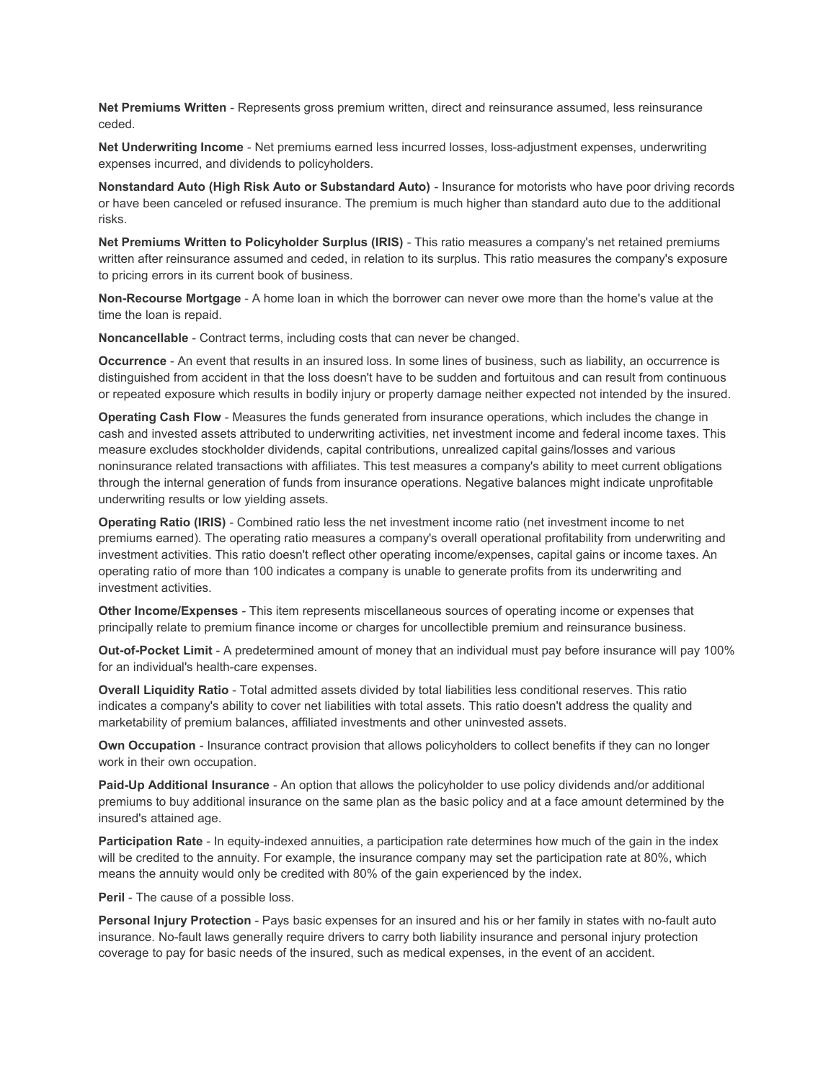**Net Premiums Written** - Represents gross premium written, direct and reinsurance assumed, less reinsurance ceded.

**Net Underwriting Income** - Net premiums earned less incurred losses, loss-adjustment expenses, underwriting expenses incurred, and dividends to policyholders.

**Nonstandard Auto (High Risk Auto or Substandard Auto)** - Insurance for motorists who have poor driving records or have been canceled or refused insurance. The premium is much higher than standard auto due to the additional risks.

**Net Premiums Written to Policyholder Surplus (IRIS)** - This ratio measures a company's net retained premiums written after reinsurance assumed and ceded, in relation to its surplus. This ratio measures the company's exposure to pricing errors in its current book of business.

**Non-Recourse Mortgage** - A home loan in which the borrower can never owe more than the home's value at the time the loan is repaid.

**Noncancellable** - Contract terms, including costs that can never be changed.

**Occurrence** - An event that results in an insured loss. In some lines of business, such as liability, an occurrence is distinguished from accident in that the loss doesn't have to be sudden and fortuitous and can result from continuous or repeated exposure which results in bodily injury or property damage neither expected not intended by the insured.

**Operating Cash Flow** - Measures the funds generated from insurance operations, which includes the change in cash and invested assets attributed to underwriting activities, net investment income and federal income taxes. This measure excludes stockholder dividends, capital contributions, unrealized capital gains/losses and various noninsurance related transactions with affiliates. This test measures a company's ability to meet current obligations through the internal generation of funds from insurance operations. Negative balances might indicate unprofitable underwriting results or low yielding assets.

**Operating Ratio (IRIS)** - Combined ratio less the net investment income ratio (net investment income to net premiums earned). The operating ratio measures a company's overall operational profitability from underwriting and investment activities. This ratio doesn't reflect other operating income/expenses, capital gains or income taxes. An operating ratio of more than 100 indicates a company is unable to generate profits from its underwriting and investment activities.

**Other Income/Expenses** - This item represents miscellaneous sources of operating income or expenses that principally relate to premium finance income or charges for uncollectible premium and reinsurance business.

**Out-of-Pocket Limit** - A predetermined amount of money that an individual must pay before insurance will pay 100% for an individual's health-care expenses.

**Overall Liquidity Ratio** - Total admitted assets divided by total liabilities less conditional reserves. This ratio indicates a company's ability to cover net liabilities with total assets. This ratio doesn't address the quality and marketability of premium balances, affiliated investments and other uninvested assets.

**Own Occupation** - Insurance contract provision that allows policyholders to collect benefits if they can no longer work in their own occupation.

**Paid-Up Additional Insurance** - An option that allows the policyholder to use policy dividends and/or additional premiums to buy additional insurance on the same plan as the basic policy and at a face amount determined by the insured's attained age.

**Participation Rate** - In equity-indexed annuities, a participation rate determines how much of the gain in the index will be credited to the annuity. For example, the insurance company may set the participation rate at 80%, which means the annuity would only be credited with 80% of the gain experienced by the index.

**Peril** - The cause of a possible loss.

**Personal Injury Protection** - Pays basic expenses for an insured and his or her family in states with no-fault auto insurance. No-fault laws generally require drivers to carry both liability insurance and personal injury protection coverage to pay for basic needs of the insured, such as medical expenses, in the event of an accident.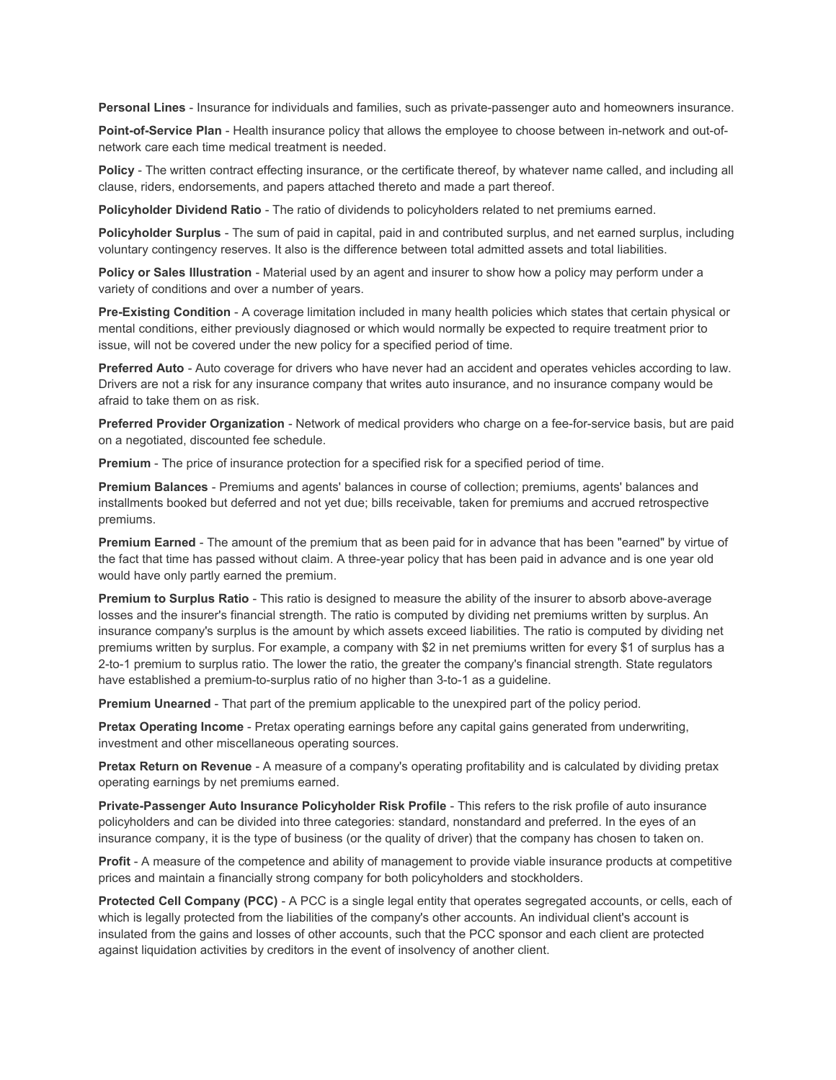**Personal Lines** - Insurance for individuals and families, such as private-passenger auto and homeowners insurance.

**Point-of-Service Plan** - Health insurance policy that allows the employee to choose between in-network and out-ofnetwork care each time medical treatment is needed.

**Policy** - The written contract effecting insurance, or the certificate thereof, by whatever name called, and including all clause, riders, endorsements, and papers attached thereto and made a part thereof.

**Policyholder Dividend Ratio** - The ratio of dividends to policyholders related to net premiums earned.

**Policyholder Surplus** - The sum of paid in capital, paid in and contributed surplus, and net earned surplus, including voluntary contingency reserves. It also is the difference between total admitted assets and total liabilities.

**Policy or Sales Illustration** - Material used by an agent and insurer to show how a policy may perform under a variety of conditions and over a number of years.

**Pre-Existing Condition** - A coverage limitation included in many health policies which states that certain physical or mental conditions, either previously diagnosed or which would normally be expected to require treatment prior to issue, will not be covered under the new policy for a specified period of time.

**Preferred Auto** - Auto coverage for drivers who have never had an accident and operates vehicles according to law. Drivers are not a risk for any insurance company that writes auto insurance, and no insurance company would be afraid to take them on as risk.

**Preferred Provider Organization** - Network of medical providers who charge on a fee-for-service basis, but are paid on a negotiated, discounted fee schedule.

**Premium** - The price of insurance protection for a specified risk for a specified period of time.

**Premium Balances** - Premiums and agents' balances in course of collection; premiums, agents' balances and installments booked but deferred and not yet due; bills receivable, taken for premiums and accrued retrospective premiums.

**Premium Earned** - The amount of the premium that as been paid for in advance that has been "earned" by virtue of the fact that time has passed without claim. A three-year policy that has been paid in advance and is one year old would have only partly earned the premium.

**Premium to Surplus Ratio** - This ratio is designed to measure the ability of the insurer to absorb above-average losses and the insurer's financial strength. The ratio is computed by dividing net premiums written by surplus. An insurance company's surplus is the amount by which assets exceed liabilities. The ratio is computed by dividing net premiums written by surplus. For example, a company with \$2 in net premiums written for every \$1 of surplus has a 2-to-1 premium to surplus ratio. The lower the ratio, the greater the company's financial strength. State regulators have established a premium-to-surplus ratio of no higher than 3-to-1 as a guideline.

**Premium Unearned** - That part of the premium applicable to the unexpired part of the policy period.

**Pretax Operating Income** - Pretax operating earnings before any capital gains generated from underwriting, investment and other miscellaneous operating sources.

**Pretax Return on Revenue** - A measure of a company's operating profitability and is calculated by dividing pretax operating earnings by net premiums earned.

**Private-Passenger Auto Insurance Policyholder Risk Profile** - This refers to the risk profile of auto insurance policyholders and can be divided into three categories: standard, nonstandard and preferred. In the eyes of an insurance company, it is the type of business (or the quality of driver) that the company has chosen to taken on.

**Profit** - A measure of the competence and ability of management to provide viable insurance products at competitive prices and maintain a financially strong company for both policyholders and stockholders.

**Protected Cell Company (PCC)** - A PCC is a single legal entity that operates segregated accounts, or cells, each of which is legally protected from the liabilities of the company's other accounts. An individual client's account is insulated from the gains and losses of other accounts, such that the PCC sponsor and each client are protected against liquidation activities by creditors in the event of insolvency of another client.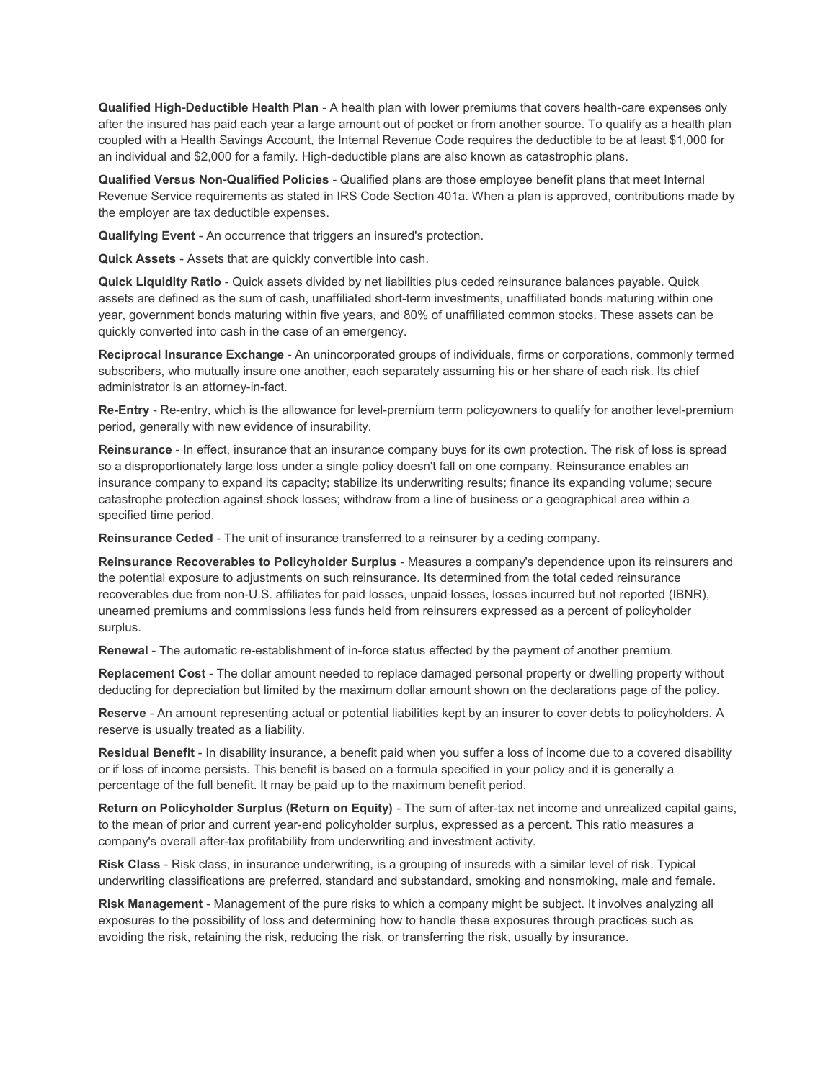**Qualified High-Deductible Health Plan** - A health plan with lower premiums that covers health-care expenses only after the insured has paid each year a large amount out of pocket or from another source. To qualify as a health plan coupled with a Health Savings Account, the Internal Revenue Code requires the deductible to be at least \$1,000 for an individual and \$2,000 for a family. High-deductible plans are also known as catastrophic plans.

**Qualified Versus Non-Qualified Policies** - Qualified plans are those employee benefit plans that meet Internal Revenue Service requirements as stated in IRS Code Section 401a. When a plan is approved, contributions made by the employer are tax deductible expenses.

**Qualifying Event** - An occurrence that triggers an insured's protection.

**Quick Assets** - Assets that are quickly convertible into cash.

**Quick Liquidity Ratio** - Quick assets divided by net liabilities plus ceded reinsurance balances payable. Quick assets are defined as the sum of cash, unaffiliated short-term investments, unaffiliated bonds maturing within one year, government bonds maturing within five years, and 80% of unaffiliated common stocks. These assets can be quickly converted into cash in the case of an emergency.

**Reciprocal Insurance Exchange** - An unincorporated groups of individuals, firms or corporations, commonly termed subscribers, who mutually insure one another, each separately assuming his or her share of each risk. Its chief administrator is an attorney-in-fact.

**Re-Entry** - Re-entry, which is the allowance for level-premium term policyowners to qualify for another level-premium period, generally with new evidence of insurability.

**Reinsurance** - In effect, insurance that an insurance company buys for its own protection. The risk of loss is spread so a disproportionately large loss under a single policy doesn't fall on one company. Reinsurance enables an insurance company to expand its capacity; stabilize its underwriting results; finance its expanding volume; secure catastrophe protection against shock losses; withdraw from a line of business or a geographical area within a specified time period.

**Reinsurance Ceded** - The unit of insurance transferred to a reinsurer by a ceding company.

**Reinsurance Recoverables to Policyholder Surplus** - Measures a company's dependence upon its reinsurers and the potential exposure to adjustments on such reinsurance. Its determined from the total ceded reinsurance recoverables due from non-U.S. affiliates for paid losses, unpaid losses, losses incurred but not reported (IBNR), unearned premiums and commissions less funds held from reinsurers expressed as a percent of policyholder surplus.

**Renewal** - The automatic re-establishment of in-force status effected by the payment of another premium.

**Replacement Cost** - The dollar amount needed to replace damaged personal property or dwelling property without deducting for depreciation but limited by the maximum dollar amount shown on the declarations page of the policy.

**Reserve** - An amount representing actual or potential liabilities kept by an insurer to cover debts to policyholders. A reserve is usually treated as a liability.

**Residual Benefit** - In disability insurance, a benefit paid when you suffer a loss of income due to a covered disability or if loss of income persists. This benefit is based on a formula specified in your policy and it is generally a percentage of the full benefit. It may be paid up to the maximum benefit period.

**Return on Policyholder Surplus (Return on Equity)** - The sum of after-tax net income and unrealized capital gains, to the mean of prior and current year-end policyholder surplus, expressed as a percent. This ratio measures a company's overall after-tax profitability from underwriting and investment activity.

**Risk Class** - Risk class, in insurance underwriting, is a grouping of insureds with a similar level of risk. Typical underwriting classifications are preferred, standard and substandard, smoking and nonsmoking, male and female.

**Risk Management** - Management of the pure risks to which a company might be subject. It involves analyzing all exposures to the possibility of loss and determining how to handle these exposures through practices such as avoiding the risk, retaining the risk, reducing the risk, or transferring the risk, usually by insurance.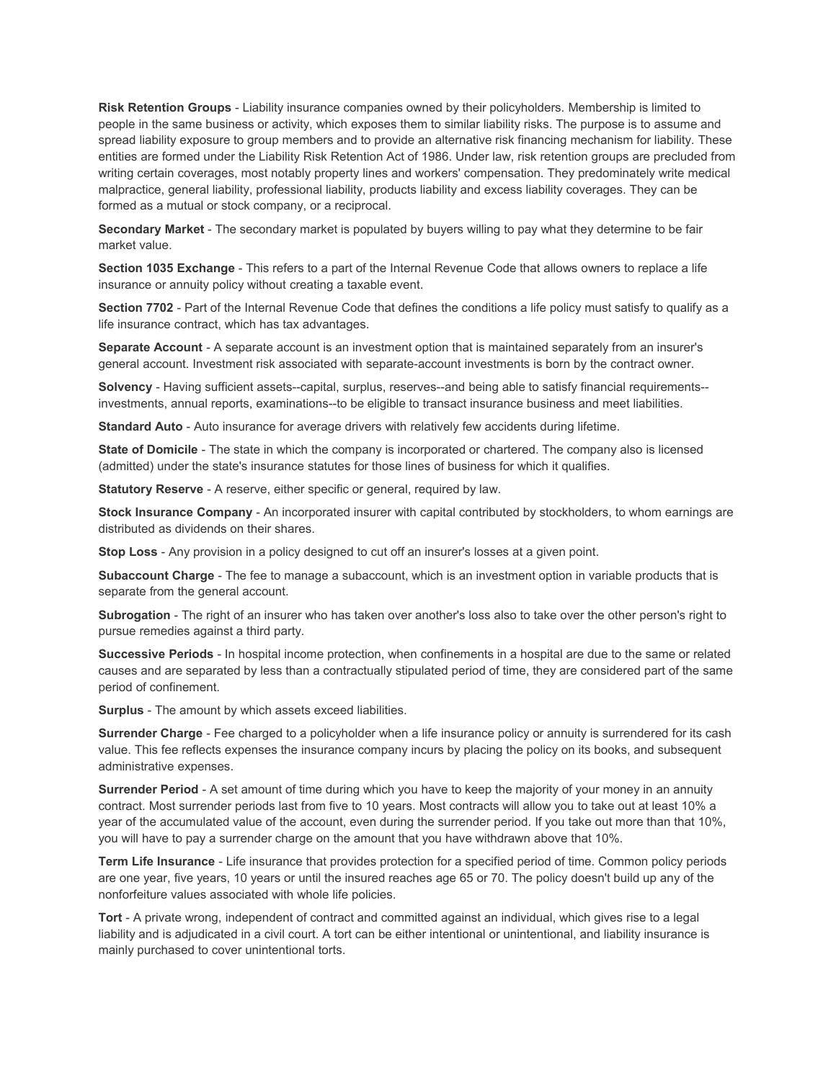**Risk Retention Groups** - Liability insurance companies owned by their policyholders. Membership is limited to people in the same business or activity, which exposes them to similar liability risks. The purpose is to assume and spread liability exposure to group members and to provide an alternative risk financing mechanism for liability. These entities are formed under the Liability Risk Retention Act of 1986. Under law, risk retention groups are precluded from writing certain coverages, most notably property lines and workers' compensation. They predominately write medical malpractice, general liability, professional liability, products liability and excess liability coverages. They can be formed as a mutual or stock company, or a reciprocal.

**Secondary Market** - The secondary market is populated by buyers willing to pay what they determine to be fair market value.

**Section 1035 Exchange** - This refers to a part of the Internal Revenue Code that allows owners to replace a life insurance or annuity policy without creating a taxable event.

**Section 7702** - Part of the Internal Revenue Code that defines the conditions a life policy must satisfy to qualify as a life insurance contract, which has tax advantages.

**Separate Account** - A separate account is an investment option that is maintained separately from an insurer's general account. Investment risk associated with separate-account investments is born by the contract owner.

**Solvency** - Having sufficient assets--capital, surplus, reserves--and being able to satisfy financial requirements- investments, annual reports, examinations--to be eligible to transact insurance business and meet liabilities.

**Standard Auto** - Auto insurance for average drivers with relatively few accidents during lifetime.

**State of Domicile** - The state in which the company is incorporated or chartered. The company also is licensed (admitted) under the state's insurance statutes for those lines of business for which it qualifies.

**Statutory Reserve** - A reserve, either specific or general, required by law.

**Stock Insurance Company** - An incorporated insurer with capital contributed by stockholders, to whom earnings are distributed as dividends on their shares.

**Stop Loss** - Any provision in a policy designed to cut off an insurer's losses at a given point.

**Subaccount Charge** - The fee to manage a subaccount, which is an investment option in variable products that is separate from the general account.

**Subrogation** - The right of an insurer who has taken over another's loss also to take over the other person's right to pursue remedies against a third party.

**Successive Periods** - In hospital income protection, when confinements in a hospital are due to the same or related causes and are separated by less than a contractually stipulated period of time, they are considered part of the same period of confinement.

**Surplus** - The amount by which assets exceed liabilities.

**Surrender Charge** - Fee charged to a policyholder when a life insurance policy or annuity is surrendered for its cash value. This fee reflects expenses the insurance company incurs by placing the policy on its books, and subsequent administrative expenses.

**Surrender Period** - A set amount of time during which you have to keep the majority of your money in an annuity contract. Most surrender periods last from five to 10 years. Most contracts will allow you to take out at least 10% a year of the accumulated value of the account, even during the surrender period. If you take out more than that 10%, you will have to pay a surrender charge on the amount that you have withdrawn above that 10%.

**Term Life Insurance** - Life insurance that provides protection for a specified period of time. Common policy periods are one year, five years, 10 years or until the insured reaches age 65 or 70. The policy doesn't build up any of the nonforfeiture values associated with whole life policies.

**Tort** - A private wrong, independent of contract and committed against an individual, which gives rise to a legal liability and is adjudicated in a civil court. A tort can be either intentional or unintentional, and liability insurance is mainly purchased to cover unintentional torts.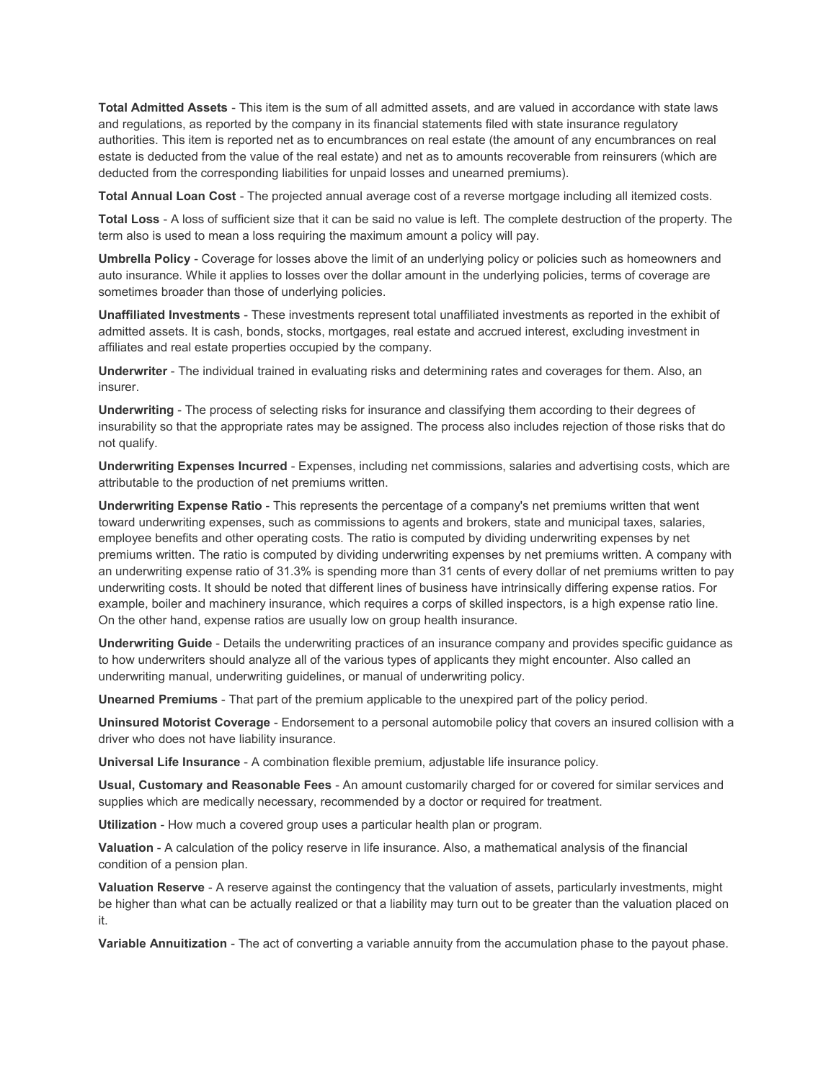**Total Admitted Assets** - This item is the sum of all admitted assets, and are valued in accordance with state laws and regulations, as reported by the company in its financial statements filed with state insurance regulatory authorities. This item is reported net as to encumbrances on real estate (the amount of any encumbrances on real estate is deducted from the value of the real estate) and net as to amounts recoverable from reinsurers (which are deducted from the corresponding liabilities for unpaid losses and unearned premiums).

**Total Annual Loan Cost** - The projected annual average cost of a reverse mortgage including all itemized costs.

**Total Loss** - A loss of sufficient size that it can be said no value is left. The complete destruction of the property. The term also is used to mean a loss requiring the maximum amount a policy will pay.

**Umbrella Policy** - Coverage for losses above the limit of an underlying policy or policies such as homeowners and auto insurance. While it applies to losses over the dollar amount in the underlying policies, terms of coverage are sometimes broader than those of underlying policies.

**Unaffiliated Investments** - These investments represent total unaffiliated investments as reported in the exhibit of admitted assets. It is cash, bonds, stocks, mortgages, real estate and accrued interest, excluding investment in affiliates and real estate properties occupied by the company.

**Underwriter** - The individual trained in evaluating risks and determining rates and coverages for them. Also, an insurer.

**Underwriting** - The process of selecting risks for insurance and classifying them according to their degrees of insurability so that the appropriate rates may be assigned. The process also includes rejection of those risks that do not qualify.

**Underwriting Expenses Incurred** - Expenses, including net commissions, salaries and advertising costs, which are attributable to the production of net premiums written.

**Underwriting Expense Ratio** - This represents the percentage of a company's net premiums written that went toward underwriting expenses, such as commissions to agents and brokers, state and municipal taxes, salaries, employee benefits and other operating costs. The ratio is computed by dividing underwriting expenses by net premiums written. The ratio is computed by dividing underwriting expenses by net premiums written. A company with an underwriting expense ratio of 31.3% is spending more than 31 cents of every dollar of net premiums written to pay underwriting costs. It should be noted that different lines of business have intrinsically differing expense ratios. For example, boiler and machinery insurance, which requires a corps of skilled inspectors, is a high expense ratio line. On the other hand, expense ratios are usually low on group health insurance.

**Underwriting Guide** - Details the underwriting practices of an insurance company and provides specific guidance as to how underwriters should analyze all of the various types of applicants they might encounter. Also called an underwriting manual, underwriting guidelines, or manual of underwriting policy.

**Unearned Premiums** - That part of the premium applicable to the unexpired part of the policy period.

**Uninsured Motorist Coverage** - Endorsement to a personal automobile policy that covers an insured collision with a driver who does not have liability insurance.

**Universal Life Insurance** - A combination flexible premium, adjustable life insurance policy.

**Usual, Customary and Reasonable Fees** - An amount customarily charged for or covered for similar services and supplies which are medically necessary, recommended by a doctor or required for treatment.

**Utilization** - How much a covered group uses a particular health plan or program.

**Valuation** - A calculation of the policy reserve in life insurance. Also, a mathematical analysis of the financial condition of a pension plan.

**Valuation Reserve** - A reserve against the contingency that the valuation of assets, particularly investments, might be higher than what can be actually realized or that a liability may turn out to be greater than the valuation placed on it.

**Variable Annuitization** - The act of converting a variable annuity from the accumulation phase to the payout phase.